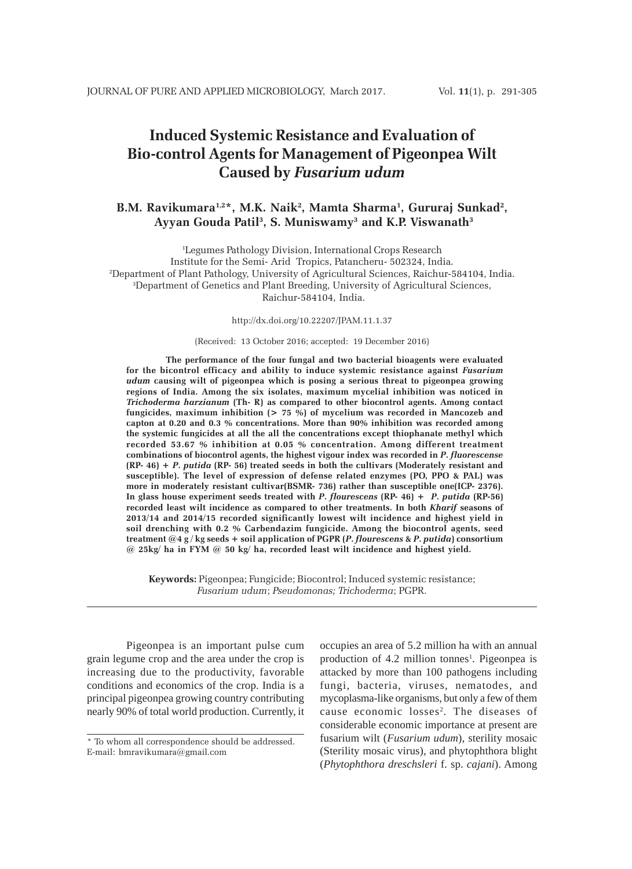# **Induced Systemic Resistance and Evaluation of Bio-control Agents for Management of Pigeonpea Wilt Caused by** *Fusarium udum*

## B.M. Ravikumara<sup>1,2</sup>\*, M.K. Naik<sup>2</sup>, Mamta Sharma<sup>1</sup>, Gururaj Sunkad<sup>2</sup>,  **Ayyan Gouda Patil3 , S. Muniswamy3 and K.P. Viswanath3**

1 Legumes Pathology Division, International Crops Research Institute for the Semi- Arid Tropics, Patancheru- 502324, India. 2 Department of Plant Pathology, University of Agricultural Sciences, Raichur-584104, India. 3 Department of Genetics and Plant Breeding, University of Agricultural Sciences, Raichur-584104, India.

http://dx.doi.org/10.22207/JPAM.11.1.37

#### (Received: 13 October 2016; accepted: 19 December 2016)

**The performance of the four fungal and two bacterial bioagents were evaluated for the bicontrol efficacy and ability to induce systemic resistance against** *Fusarium udum* **causing wilt of pigeonpea which is posing a serious threat to pigeonpea growing regions of India. Among the six isolates, maximum mycelial inhibition was noticed in** *Trichoderma harzianum* **(Th- R) as compared to other biocontrol agents. Among contact fungicides, maximum inhibition (> 75 %) of mycelium was recorded in Mancozeb and capton at 0.20 and 0.3 % concentrations. More than 90% inhibition was recorded among the systemic fungicides at all the all the concentrations except thiophanate methyl which recorded 53.67 % inhibition at 0.05 % concentration. Among different treatment combinations of biocontrol agents, the highest vigour index was recorded in** *P***.** *fluorescense* **(RP- 46) +** *P***.** *putida* **(RP- 56) treated seeds in both the cultivars (Moderately resistant and susceptible). The level of expression of defense related enzymes (PO, PPO & PAL) was more in moderately resistant cultivar(BSMR- 736) rather than susceptible one(ICP- 2376). In glass house experiment seeds treated with** *P***.** *flourescens* **(RP- 46) +** *P***.** *putida* **(RP-56) recorded least wilt incidence as compared to other treatments. In both** *Kharif* **seasons of 2013/14 and 2014/15 recorded significantly lowest wilt incidence and highest yield in soil drenching with 0.2 % Carbendazim fungicide. Among the biocontrol agents, seed treatment @4 g / kg seeds + soil application of PGPR (***P***.** *flourescens* **&** *P***.** *putida***) consortium @ 25kg/ ha in FYM @ 50 kg/ ha, recorded least wilt incidence and highest yield.**

**Keywords:** Pigeonpea; Fungicide; Biocontrol; Induced systemic resistance; *Fusarium udum*; *Pseudomonas; Trichoderma*; PGPR.

Pigeonpea is an important pulse cum grain legume crop and the area under the crop is increasing due to the productivity, favorable conditions and economics of the crop. India is a principal pigeonpea growing country contributing nearly 90% of total world production. Currently, it occupies an area of 5.2 million ha with an annual production of 4.2 million tonnes<sup>1</sup>. Pigeonpea is attacked by more than 100 pathogens including fungi, bacteria, viruses, nematodes, and mycoplasma-like organisms, but only a few of them cause economic losses<sup>2</sup>. The diseases of considerable economic importance at present are fusarium wilt (*Fusarium udum*), sterility mosaic (Sterility mosaic virus), and phytophthora blight (*Phytophthora dreschsleri* f. sp. *cajani*). Among

<sup>\*</sup> To whom all correspondence should be addressed. E-mail: bmravikumara@gmail.com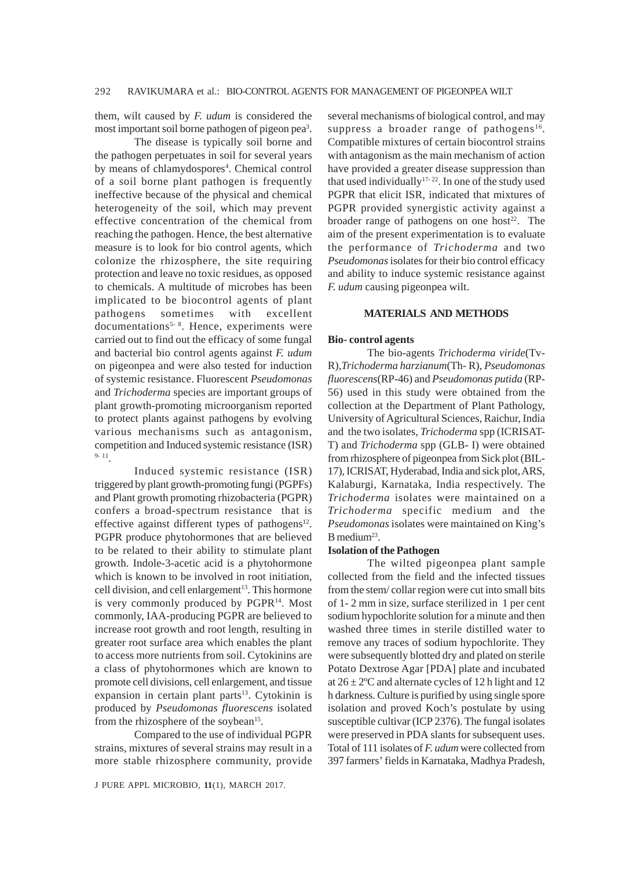them, wilt caused by *F. udum* is considered the most important soil borne pathogen of pigeon pea<sup>3</sup>.

The disease is typically soil borne and the pathogen perpetuates in soil for several years by means of chlamydospores<sup>4</sup>. Chemical control of a soil borne plant pathogen is frequently ineffective because of the physical and chemical heterogeneity of the soil, which may prevent effective concentration of the chemical from reaching the pathogen. Hence, the best alternative measure is to look for bio control agents, which colonize the rhizosphere, the site requiring protection and leave no toxic residues, as opposed to chemicals. A multitude of microbes has been implicated to be biocontrol agents of plant pathogens sometimes with excellent documentations<sup>5-8</sup>. Hence, experiments were carried out to find out the efficacy of some fungal and bacterial bio control agents against *F. udum* on pigeonpea and were also tested for induction of systemic resistance. Fluorescent *Pseudomonas* and *Trichoderma* species are important groups of plant growth-promoting microorganism reported to protect plants against pathogens by evolving various mechanisms such as antagonism, competition and Induced systemic resistance (ISR) 9- 11.

Induced systemic resistance (ISR) triggered by plant growth-promoting fungi (PGPFs) and Plant growth promoting rhizobacteria (PGPR) confers a broad-spectrum resistance that is effective against different types of pathogens $12$ . PGPR produce phytohormones that are believed to be related to their ability to stimulate plant growth. Indole-3-acetic acid is a phytohormone which is known to be involved in root initiation. cell division, and cell enlargement<sup>13</sup>. This hormone is very commonly produced by PGPR<sup>14</sup>. Most commonly, IAA-producing PGPR are believed to increase root growth and root length, resulting in greater root surface area which enables the plant to access more nutrients from soil. Cytokinins are a class of phytohormones which are known to promote cell divisions, cell enlargement, and tissue expansion in certain plant parts $13$ . Cytokinin is produced by *Pseudomonas fluorescens* isolated from the rhizosphere of the soybean<sup>15</sup>.

Compared to the use of individual PGPR strains, mixtures of several strains may result in a more stable rhizosphere community, provide

several mechanisms of biological control, and may suppress a broader range of pathogens<sup>16</sup>. Compatible mixtures of certain biocontrol strains with antagonism as the main mechanism of action have provided a greater disease suppression than that used individually<sup>17-22</sup>. In one of the study used PGPR that elicit ISR, indicated that mixtures of PGPR provided synergistic activity against a broader range of pathogens on one host<sup>22</sup>. The aim of the present experimentation is to evaluate the performance of *Trichoderma* and two *Pseudomonas* isolates for their bio control efficacy and ability to induce systemic resistance against *F. udum* causing pigeonpea wilt.

## **MATERIALS AND METHODS**

#### **Bio- control agents**

The bio-agents *Trichoderma viride*(Tv-R)*,Trichoderma harzianum*(Th- R)*, Pseudomonas fluorescens*(RP-46) and *Pseudomonas putida* (RP-56) used in this study were obtained from the collection at the Department of Plant Pathology, University of Agricultural Sciences, Raichur, India and the two isolates, *Trichoderma* spp (ICRISAT-T) and *Trichoderma* spp (GLB- I) were obtained from rhizosphere of pigeonpea from Sick plot (BIL-17), ICRISAT, Hyderabad, India and sick plot, ARS, Kalaburgi, Karnataka, India respectively. The *Trichoderma* isolates were maintained on a *Trichoderma* specific medium and the *Pseudomonas* isolates were maintained on King's  $B$  medium<sup>23</sup>.

#### **Isolation of the Pathogen**

The wilted pigeonpea plant sample collected from the field and the infected tissues from the stem/ collar region were cut into small bits of 1- 2 mm in size, surface sterilized in 1 per cent sodium hypochlorite solution for a minute and then washed three times in sterile distilled water to remove any traces of sodium hypochlorite. They were subsequently blotted dry and plated on sterile Potato Dextrose Agar [PDA] plate and incubated at  $26 \pm 2^{\circ}$ C and alternate cycles of 12 h light and 12 h darkness. Culture is purified by using single spore isolation and proved Koch's postulate by using susceptible cultivar (ICP 2376). The fungal isolates were preserved in PDA slants for subsequent uses. Total of 111 isolates of *F. udum* were collected from 397 farmers' fields in Karnataka, Madhya Pradesh,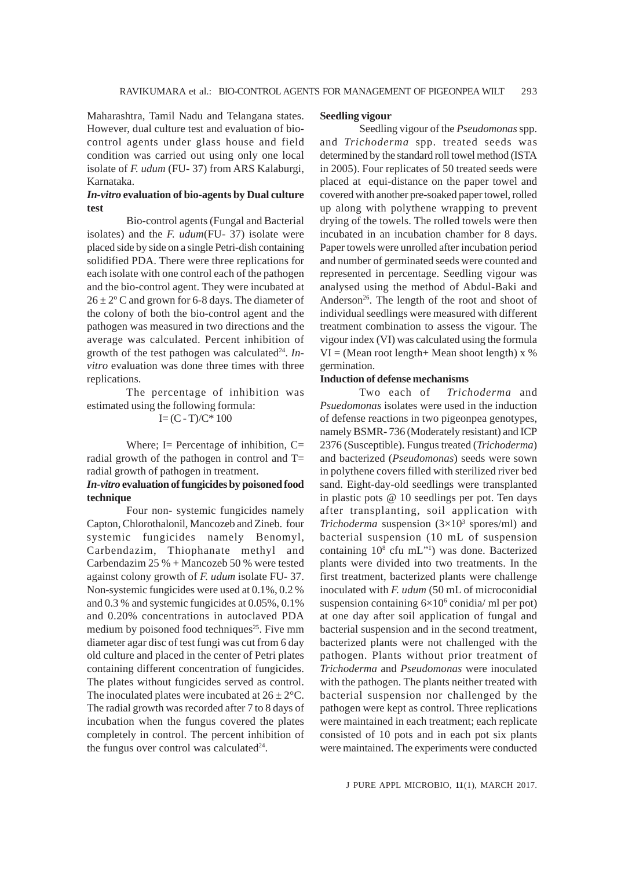Maharashtra, Tamil Nadu and Telangana states. However, dual culture test and evaluation of biocontrol agents under glass house and field condition was carried out using only one local isolate of *F. udum* (FU- 37) from ARS Kalaburgi, Karnataka.

## *In-vitro* **evaluation of bio-agents by Dual culture test**

Bio-control agents (Fungal and Bacterial isolates) and the *F. udum*(FU- 37) isolate were placed side by side on a single Petri-dish containing solidified PDA. There were three replications for each isolate with one control each of the pathogen and the bio-control agent. They were incubated at  $26 \pm 2^{\circ}$  C and grown for 6-8 days. The diameter of the colony of both the bio-control agent and the pathogen was measured in two directions and the average was calculated. Percent inhibition of growth of the test pathogen was calculated<sup>24</sup>. *Invitro* evaluation was done three times with three replications.

The percentage of inhibition was estimated using the following formula:

 $I = (C - T)/C^* 100$ 

Where; I= Percentage of inhibition,  $C=$ radial growth of the pathogen in control and T= radial growth of pathogen in treatment.

## *In-vitro* **evaluation of fungicides by poisoned food technique**

Four non- systemic fungicides namely Capton, Chlorothalonil, Mancozeb and Zineb. four systemic fungicides namely Benomyl, Carbendazim, Thiophanate methyl and Carbendazim 25 % + Mancozeb 50 % were tested against colony growth of *F. udum* isolate FU- 37. Non-systemic fungicides were used at 0.1%, 0.2 % and 0.3 % and systemic fungicides at 0.05%, 0.1% and 0.20% concentrations in autoclaved PDA medium by poisoned food techniques<sup>25</sup>. Five mm diameter agar disc of test fungi was cut from 6 day old culture and placed in the center of Petri plates containing different concentration of fungicides. The plates without fungicides served as control. The inoculated plates were incubated at  $26 \pm 2^{\circ}$ C. The radial growth was recorded after 7 to 8 days of incubation when the fungus covered the plates completely in control. The percent inhibition of the fungus over control was calculated $24$ .

## **Seedling vigour**

Seedling vigour of the *Pseudomonas* spp. and *Trichoderma* spp. treated seeds was determined by the standard roll towel method (ISTA in 2005). Four replicates of 50 treated seeds were placed at equi-distance on the paper towel and covered with another pre-soaked paper towel, rolled up along with polythene wrapping to prevent drying of the towels. The rolled towels were then incubated in an incubation chamber for 8 days. Paper towels were unrolled after incubation period and number of germinated seeds were counted and represented in percentage. Seedling vigour was analysed using the method of Abdul-Baki and Anderson<sup>26</sup>. The length of the root and shoot of individual seedlings were measured with different treatment combination to assess the vigour. The vigour index (VI) was calculated using the formula  $VI = (Mean root length + Mean shoot length) \times %$ germination.

### **Induction of defense mechanisms**

Two each of *Trichoderma* and *Psuedomonas* isolates were used in the induction of defense reactions in two pigeonpea genotypes, namely BSMR- 736 (Moderately resistant) and ICP 2376 (Susceptible). Fungus treated (*Trichoderma*) and bacterized (*Pseudomonas*) seeds were sown in polythene covers filled with sterilized river bed sand. Eight-day-old seedlings were transplanted in plastic pots @ 10 seedlings per pot. Ten days after transplanting, soil application with *Trichoderma* suspension  $(3\times10^3 \text{ spores/ml})$  and bacterial suspension (10 mL of suspension containing 10<sup>8</sup> cfu mL"<sup>1</sup>) was done. Bacterized plants were divided into two treatments. In the first treatment, bacterized plants were challenge inoculated with *F. udum* (50 mL of microconidial suspension containing  $6\times10^6$  conidia/ ml per pot) at one day after soil application of fungal and bacterial suspension and in the second treatment, bacterized plants were not challenged with the pathogen. Plants without prior treatment of *Trichoderma* and *Pseudomonas* were inoculated with the pathogen. The plants neither treated with bacterial suspension nor challenged by the pathogen were kept as control. Three replications were maintained in each treatment; each replicate consisted of 10 pots and in each pot six plants were maintained. The experiments were conducted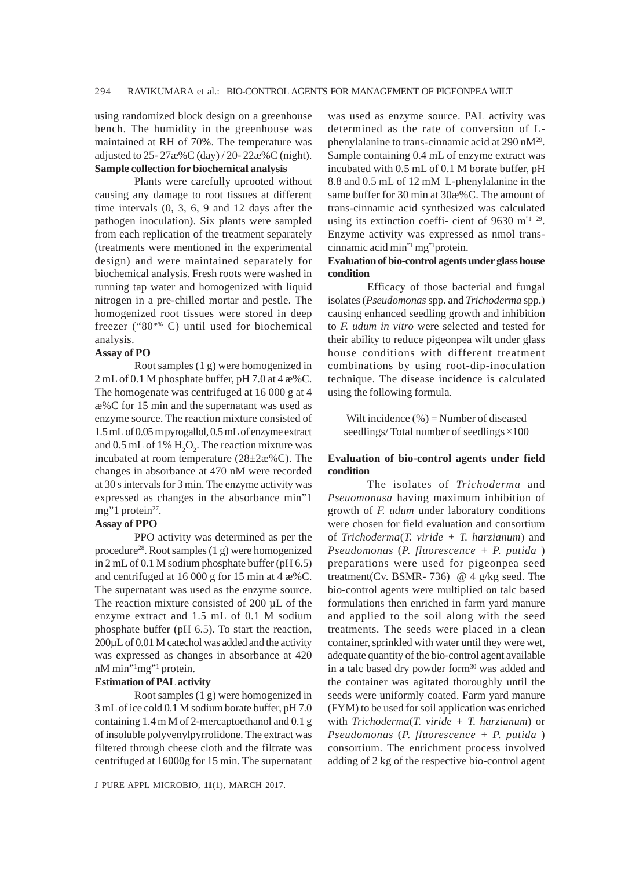using randomized block design on a greenhouse bench. The humidity in the greenhouse was maintained at RH of 70%. The temperature was adjusted to 25- 27æ%C (day) / 20- 22æ%C (night). **Sample collection for biochemical analysis**

Plants were carefully uprooted without causing any damage to root tissues at different time intervals (0, 3, 6, 9 and 12 days after the pathogen inoculation). Six plants were sampled from each replication of the treatment separately (treatments were mentioned in the experimental design) and were maintained separately for biochemical analysis. Fresh roots were washed in running tap water and homogenized with liquid nitrogen in a pre-chilled mortar and pestle. The homogenized root tissues were stored in deep freezer (" $80^{x\%}$  C) until used for biochemical analysis.

#### **Assay of PO**

Root samples (1 g) were homogenized in 2 mL of 0.1 M phosphate buffer, pH 7.0 at 4 æ%C. The homogenate was centrifuged at 16 000 g at 4 æ%C for 15 min and the supernatant was used as enzyme source. The reaction mixture consisted of 1.5 mL of 0.05 m pyrogallol, 0.5 mL of enzyme extract and 0.5 mL of 1%  $H_2O_2$ . The reaction mixture was incubated at room temperature (28±2æ%C). The changes in absorbance at 470 nM were recorded at 30 s intervals for 3 min. The enzyme activity was expressed as changes in the absorbance min"1 mg"1 protein<sup>27</sup>.

#### **Assay of PPO**

PPO activity was determined as per the procedure<sup>28</sup>. Root samples  $(1 g)$  were homogenized in 2 mL of 0.1 M sodium phosphate buffer (pH 6.5) and centrifuged at 16 000 g for 15 min at 4 æ%C. The supernatant was used as the enzyme source. The reaction mixture consisted of 200 µL of the enzyme extract and 1.5 mL of 0.1 M sodium phosphate buffer (pH 6.5). To start the reaction, 200µL of 0.01 M catechol was added and the activity was expressed as changes in absorbance at 420 nM min"<sup>1</sup>mg"<sup>1</sup> protein.

#### **Estimation of PAL activity**

Root samples (1 g) were homogenized in 3 mL of ice cold 0.1 M sodium borate buffer, pH 7.0 containing 1.4 m M of 2-mercaptoethanol and 0.1 g of insoluble polyvenylpyrrolidone. The extract was filtered through cheese cloth and the filtrate was centrifuged at 16000g for 15 min. The supernatant

J PURE APPL MICROBIO*,* **11**(1), MARCH 2017.

was used as enzyme source. PAL activity was determined as the rate of conversion of Lphenylalanine to trans-cinnamic acid at 290 nM<sup>29</sup>. Sample containing 0.4 mL of enzyme extract was incubated with 0.5 mL of 0.1 M borate buffer, pH 8.8 and 0.5 mL of 12 mM L-phenylalanine in the same buffer for 30 min at 30æ%C. The amount of trans-cinnamic acid synthesized was calculated using its extinction coeffi- cient of 9630 m<sup> $n^{2}$ </sup>. Enzyme activity was expressed as nmol transcinnamic acid min"1 mg"1protein.

## **Evaluation of bio-control agents under glass house condition**

Efficacy of those bacterial and fungal isolates (*Pseudomonas* spp. and *Trichoderma* spp.) causing enhanced seedling growth and inhibition to *F. udum in vitro* were selected and tested for their ability to reduce pigeonpea wilt under glass house conditions with different treatment combinations by using root-dip-inoculation technique. The disease incidence is calculated using the following formula.

Wilt incidence (%) = Number of diseased seedlings/Total number of seedlings $\times$ 100

## **Evaluation of bio-control agents under field condition**

The isolates of *Trichoderma* and *Pseuomonasa* having maximum inhibition of growth of *F. udum* under laboratory conditions were chosen for field evaluation and consortium of *Trichoderma*(*T. viride + T. harzianum*) and *Pseudomonas* (*P. fluorescence + P. putida* ) preparations were used for pigeonpea seed treatment(Cv. BSMR- 736)  $@$  4 g/kg seed. The bio-control agents were multiplied on talc based formulations then enriched in farm yard manure and applied to the soil along with the seed treatments. The seeds were placed in a clean container, sprinkled with water until they were wet, adequate quantity of the bio-control agent available in a talc based dry powder form<sup>30</sup> was added and the container was agitated thoroughly until the seeds were uniformly coated. Farm yard manure (FYM) to be used for soil application was enriched with *Trichoderma*(*T. viride + T. harzianum*) or *Pseudomonas* (*P. fluorescence + P. putida* ) consortium. The enrichment process involved adding of 2 kg of the respective bio-control agent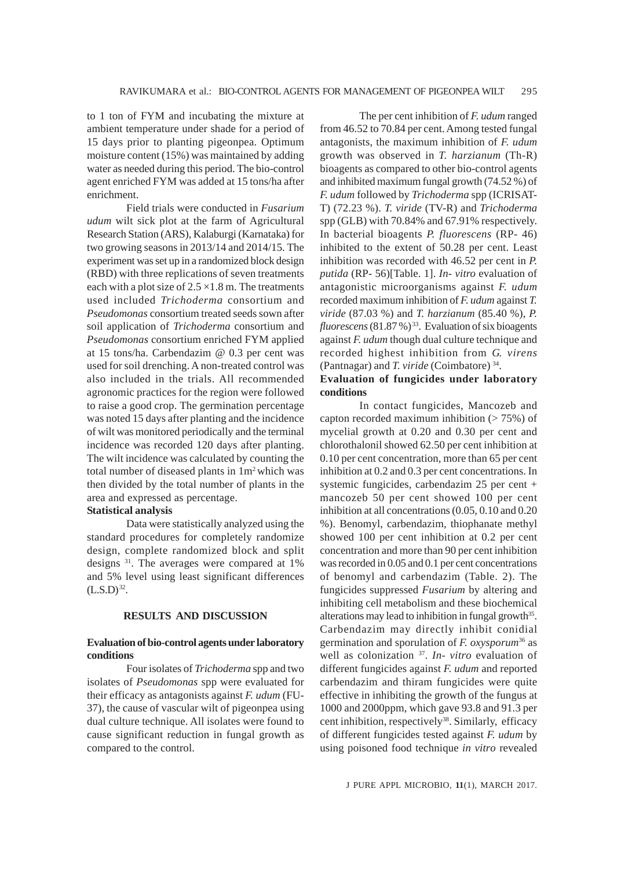to 1 ton of FYM and incubating the mixture at ambient temperature under shade for a period of 15 days prior to planting pigeonpea. Optimum moisture content (15%) was maintained by adding water as needed during this period. The bio-control agent enriched FYM was added at 15 tons/ha after enrichment.

Field trials were conducted in *Fusarium udum* wilt sick plot at the farm of Agricultural Research Station (ARS), Kalaburgi (Karnataka) for two growing seasons in 2013/14 and 2014/15. The experiment was set up in a randomized block design (RBD) with three replications of seven treatments each with a plot size of  $2.5 \times 1.8$  m. The treatments used included *Trichoderma* consortium and *Pseudomonas* consortium treated seeds sown after soil application of *Trichoderma* consortium and *Pseudomonas* consortium enriched FYM applied at 15 tons/ha. Carbendazim @ 0.3 per cent was used for soil drenching. A non-treated control was also included in the trials. All recommended agronomic practices for the region were followed to raise a good crop. The germination percentage was noted 15 days after planting and the incidence of wilt was monitored periodically and the terminal incidence was recorded 120 days after planting. The wilt incidence was calculated by counting the total number of diseased plants in  $1m<sup>2</sup>$  which was then divided by the total number of plants in the area and expressed as percentage.

#### **Statistical analysis**

Data were statistically analyzed using the standard procedures for completely randomize design, complete randomized block and split designs 31. The averages were compared at 1% and 5% level using least significant differences  $(L.S.D)^{32}$ .

## **RESULTS AND DISCUSSION**

### **Evaluation of bio-control agents under laboratory conditions**

Four isolates of *Trichoderma* spp and two isolates of *Pseudomonas* spp were evaluated for their efficacy as antagonists against *F. udum* (FU-37), the cause of vascular wilt of pigeonpea using dual culture technique. All isolates were found to cause significant reduction in fungal growth as compared to the control.

The per cent inhibition of *F. udum* ranged from 46.52 to 70.84 per cent. Among tested fungal antagonists, the maximum inhibition of *F. udum* growth was observed in *T. harzianum* (Th-R) bioagents as compared to other bio-control agents and inhibited maximum fungal growth (74.52 %) of *F. udum* followed by *Trichoderma* spp (ICRISAT-T) (72.23 %). *T. viride* (TV-R) and *Trichoderma* spp (GLB) with 70.84% and 67.91% respectively. In bacterial bioagents *P. fluorescens* (RP- 46) inhibited to the extent of 50.28 per cent. Least inhibition was recorded with 46.52 per cent in *P. putida* (RP- 56)[Table. 1]. *In- vitro* evaluation of antagonistic microorganisms against *F. udum* recorded maximum inhibition of *F. udum* against *T. viride* (87.03 %) and *T. harzianum* (85.40 %), *P. fluorescens* (81.87 %) 33. Evaluation of six bioagents against *F. udum* though dual culture technique and recorded highest inhibition from *G. virens* (Pantnagar) and *T. viride* (Coimbatore) 34.

## **Evaluation of fungicides under laboratory conditions**

In contact fungicides, Mancozeb and capton recorded maximum inhibition  $($  > 75%) of mycelial growth at 0.20 and 0.30 per cent and chlorothalonil showed 62.50 per cent inhibition at 0.10 per cent concentration, more than 65 per cent inhibition at 0.2 and 0.3 per cent concentrations. In systemic fungicides, carbendazim 25 per cent + mancozeb 50 per cent showed 100 per cent inhibition at all concentrations (0.05, 0.10 and 0.20 %). Benomyl, carbendazim, thiophanate methyl showed 100 per cent inhibition at 0.2 per cent concentration and more than 90 per cent inhibition was recorded in 0.05 and 0.1 per cent concentrations of benomyl and carbendazim (Table. 2). The fungicides suppressed *Fusarium* by altering and inhibiting cell metabolism and these biochemical alterations may lead to inhibition in fungal growth<sup>35</sup>. Carbendazim may directly inhibit conidial germination and sporulation of *F. oxysporum*36 as well as colonization 37. *In- vitro* evaluation of different fungicides against *F. udum* and reported carbendazim and thiram fungicides were quite effective in inhibiting the growth of the fungus at 1000 and 2000ppm, which gave 93.8 and 91.3 per cent inhibition, respectively<sup>38</sup>. Similarly, efficacy of different fungicides tested against *F. udum* by using poisoned food technique *in vitro* revealed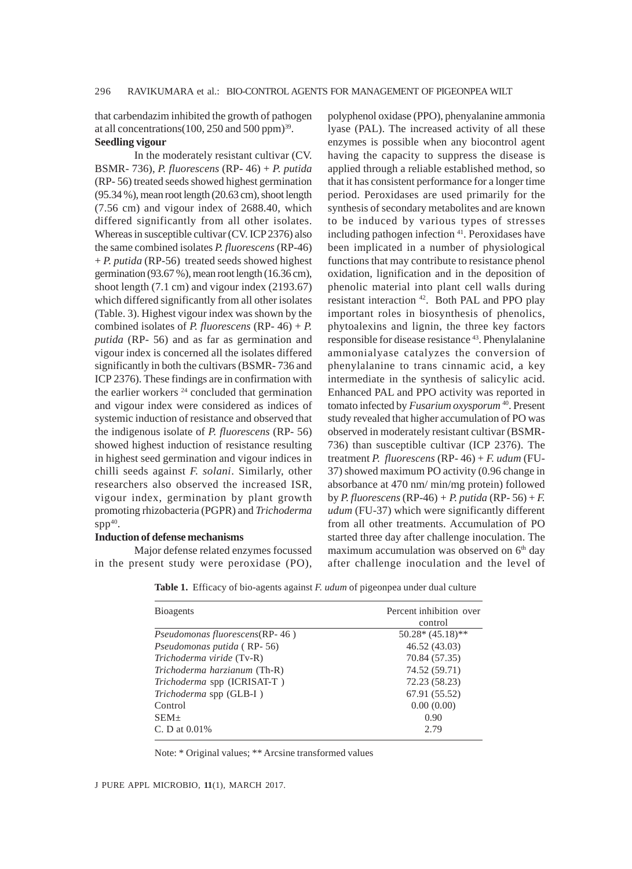that carbendazim inhibited the growth of pathogen at all concentrations(100, 250 and 500 ppm) $^{39}$ .

# **Seedling vigour**

In the moderately resistant cultivar (CV. BSMR- 736), *P. fluorescens* (RP- 46) + *P. putida* (RP- 56) treated seeds showed highest germination (95.34 %), mean root length (20.63 cm), shoot length (7.56 cm) and vigour index of 2688.40, which differed significantly from all other isolates. Whereas in susceptible cultivar (CV. ICP 2376) also the same combined isolates *P. fluorescens* (RP-46) + *P. putida* (RP-56) treated seeds showed highest germination (93.67 %), mean root length (16.36 cm), shoot length (7.1 cm) and vigour index (2193.67) which differed significantly from all other isolates (Table. 3). Highest vigour index was shown by the combined isolates of *P. fluorescens* (RP- 46) + *P. putida* (RP- 56) and as far as germination and vigour index is concerned all the isolates differed significantly in both the cultivars (BSMR- 736 and ICP 2376). These findings are in confirmation with the earlier workers  $24$  concluded that germination and vigour index were considered as indices of systemic induction of resistance and observed that the indigenous isolate of *P. fluorescens* (RP- 56) showed highest induction of resistance resulting in highest seed germination and vigour indices in chilli seeds against *F. solani*. Similarly, other researchers also observed the increased ISR, vigour index, germination by plant growth promoting rhizobacteria (PGPR) and *Trichoderma*  $spp^{40}$ .

## **Induction of defense mechanisms**

Major defense related enzymes focussed in the present study were peroxidase (PO),

polyphenol oxidase (PPO), phenyalanine ammonia lyase (PAL). The increased activity of all these enzymes is possible when any biocontrol agent having the capacity to suppress the disease is applied through a reliable established method, so that it has consistent performance for a longer time period. Peroxidases are used primarily for the synthesis of secondary metabolites and are known to be induced by various types of stresses including pathogen infection 41. Peroxidases have been implicated in a number of physiological functions that may contribute to resistance phenol oxidation, lignification and in the deposition of phenolic material into plant cell walls during resistant interaction 42. Both PAL and PPO play important roles in biosynthesis of phenolics, phytoalexins and lignin, the three key factors responsible for disease resistance 43. Phenylalanine ammonialyase catalyzes the conversion of phenylalanine to trans cinnamic acid, a key intermediate in the synthesis of salicylic acid. Enhanced PAL and PPO activity was reported in tomato infected by *Fusarium oxysporum* 40. Present study revealed that higher accumulation of PO was observed in moderately resistant cultivar (BSMR-736) than susceptible cultivar (ICP 2376). The treatment *P. fluorescens* (RP- 46) + *F. udum* (FU-37) showed maximum PO activity (0.96 change in absorbance at 470 nm/ min/mg protein) followed by *P. fluorescens* (RP-46) *+ P. putida* (RP- 56) + *F. udum* (FU-37) which were significantly different from all other treatments. Accumulation of PO started three day after challenge inoculation. The maximum accumulation was observed on  $6<sup>th</sup>$  day after challenge inoculation and the level of

| <b>Bioagents</b>               | Percent inhibition over<br>control |  |  |
|--------------------------------|------------------------------------|--|--|
| Pseudomonas fluorescens(RP-46) | $50.28*(45.18)*$                   |  |  |
| Pseudomonas putida (RP-56)     | 46.52 (43.03)                      |  |  |
| Trichoderma viride (Tv-R)      | 70.84 (57.35)                      |  |  |
| Trichoderma harzianum (Th-R)   | 74.52 (59.71)                      |  |  |
| Trichoderma spp (ICRISAT-T)    | 72.23 (58.23)                      |  |  |
| <i>Trichoderma</i> spp (GLB-I) | 67.91 (55.52)                      |  |  |
| Control                        | 0.00(0.00)                         |  |  |
| $SEM+$                         | 0.90                               |  |  |
| C. D at $0.01\%$               | 2.79                               |  |  |

**Table 1.** Efficacy of bio-agents against *F. udum* of pigeonpea under dual culture

Note: \* Original values; \*\* Arcsine transformed values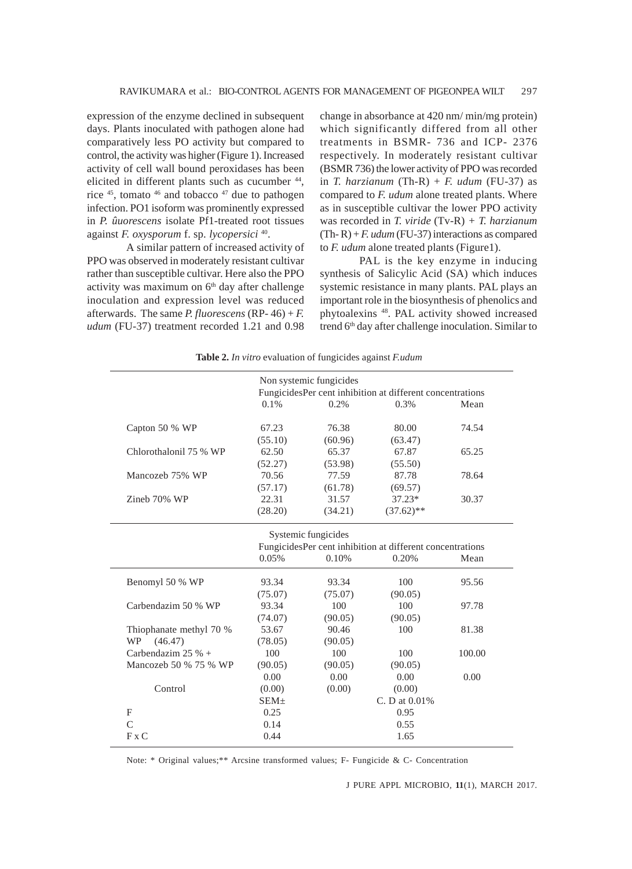expression of the enzyme declined in subsequent days. Plants inoculated with pathogen alone had comparatively less PO activity but compared to control, the activity was higher (Figure 1). Increased activity of cell wall bound peroxidases has been elicited in different plants such as cucumber 44, rice 45, tomato 46 and tobacco 47 due to pathogen infection. PO1 isoform was prominently expressed in *P. ûuorescens* isolate Pf1-treated root tissues against *F. oxysporum* f. sp. *lycopersici* 40.

A similar pattern of increased activity of PPO was observed in moderately resistant cultivar rather than susceptible cultivar. Here also the PPO activity was maximum on 6<sup>th</sup> day after challenge inoculation and expression level was reduced afterwards. The same *P. fluorescens* (RP- 46) + *F. udum* (FU-37) treatment recorded 1.21 and 0.98 change in absorbance at 420 nm/ min/mg protein) which significantly differed from all other treatments in BSMR- 736 and ICP- 2376 respectively. In moderately resistant cultivar (BSMR 736) the lower activity of PPO was recorded in *T. harzianum* (Th-R) + *F. udum* (FU-37) as compared to *F. udum* alone treated plants. Where as in susceptible cultivar the lower PPO activity was recorded in *T. viride* (Tv-R) *+ T. harzianum*  $(Th-R) + F.$ *udum*  $(FU-37)$  interactions as compared to *F. udum* alone treated plants (Figure1).

PAL is the key enzyme in inducing synthesis of Salicylic Acid (SA) which induces systemic resistance in many plants. PAL plays an important role in the biosynthesis of phenolics and phytoalexins 48. PAL activity showed increased trend 6<sup>th</sup> day after challenge inoculation. Similar to

|                         |                                                           | Non systemic fungicides |                                                           |        |
|-------------------------|-----------------------------------------------------------|-------------------------|-----------------------------------------------------------|--------|
|                         | FungicidesPer cent inhibition at different concentrations |                         |                                                           |        |
|                         | 0.1%                                                      | 0.2%                    | 0.3%                                                      | Mean   |
| Capton 50 % WP          | 67.23                                                     | 76.38                   | 80.00                                                     | 74.54  |
|                         | (55.10)                                                   | (60.96)                 | (63.47)                                                   |        |
| Chlorothalonil 75 % WP  | 62.50                                                     | 65.37                   | 67.87                                                     | 65.25  |
|                         | (52.27)                                                   | (53.98)                 | (55.50)                                                   |        |
| Mancozeb 75% WP         | 70.56                                                     | 77.59                   | 87.78                                                     | 78.64  |
|                         | (57.17)                                                   | (61.78)                 | (69.57)                                                   |        |
| Zineb 70% WP            | 22.31                                                     | 31.57                   | $37.23*$                                                  | 30.37  |
|                         | (28.20)                                                   | (34.21)                 | $(37.62)$ **                                              |        |
|                         |                                                           | Systemic fungicides     |                                                           |        |
|                         |                                                           |                         | FungicidesPer cent inhibition at different concentrations |        |
|                         | 0.05%                                                     | 0.10%                   | 0.20%                                                     | Mean   |
| Benomyl 50 % WP         | 93.34                                                     | 93.34                   | 100                                                       | 95.56  |
|                         | (75.07)                                                   | (75.07)                 | (90.05)                                                   |        |
| Carbendazim 50 % WP     | 93.34                                                     | 100                     | 100                                                       | 97.78  |
|                         | (74.07)                                                   | (90.05)                 | (90.05)                                                   |        |
| Thiophanate methyl 70 % | 53.67                                                     | 90.46                   | 100                                                       | 81.38  |
| (46.47)<br>WP           | (78.05)                                                   | (90.05)                 |                                                           |        |
| Carbendazim 25 % $+$    | 100                                                       | 100                     | 100                                                       | 100.00 |
| Mancozeb 50 % 75 % WP   | (90.05)                                                   | (90.05)                 | (90.05)                                                   |        |
|                         | 0.00                                                      | 0.00                    | 0.00                                                      | 0.00   |
| Control                 | (0.00)                                                    | (0.00)                  | (0.00)                                                    |        |
|                         | $SEM+$                                                    |                         | C. D at $0.01\%$                                          |        |
| F                       | 0.25                                                      |                         | 0.95                                                      |        |
| $\overline{C}$          | 0.14                                                      |                         | 0.55                                                      |        |
| F x C                   | 0.44                                                      |                         | 1.65                                                      |        |

**Table 2.** *In vitro* evaluation of fungicides against *F.udum*

Note: \* Original values;\*\* Arcsine transformed values; F- Fungicide & C- Concentration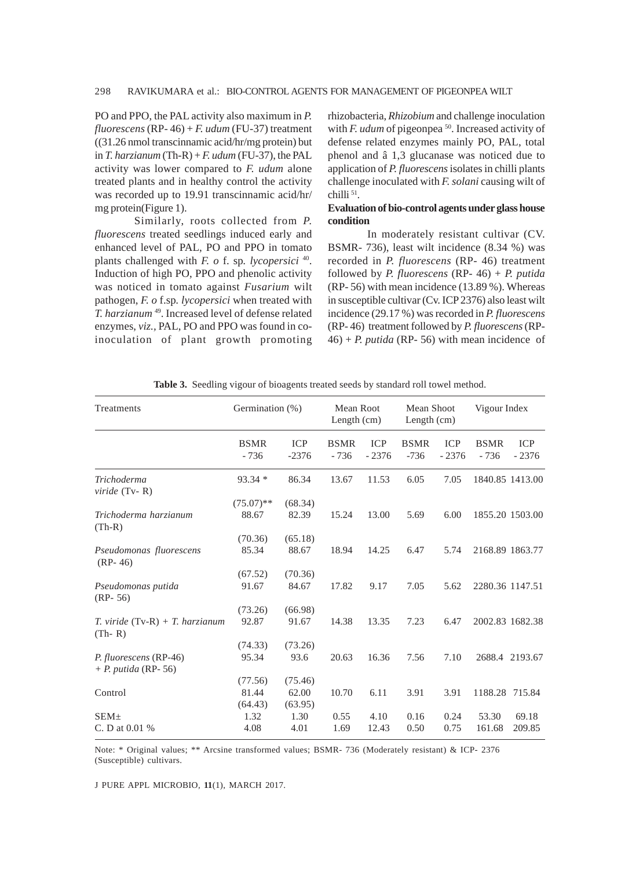#### 298 RAVIKUMARA et al.: BIO-CONTROL AGENTS FOR MANAGEMENT OF PIGEONPEA WILT

PO and PPO, the PAL activity also maximum in *P. fluorescens* (RP- 46) + *F. udum* (FU-37) treatment ((31.26 nmol transcinnamic acid/hr/mg protein) but in *T. harzianum* (Th-R) +  $F.$  udum (FU-37), the PAL activity was lower compared to *F. udum* alone treated plants and in healthy control the activity was recorded up to 19.91 transcinnamic acid/hr/ mg protein(Figure 1).

Similarly, roots collected from *P. fluorescens* treated seedlings induced early and enhanced level of PAL, PO and PPO in tomato plants challenged with *F. o* f. sp*. lycopersici* 40. Induction of high PO, PPO and phenolic activity was noticed in tomato against *Fusarium* wilt pathogen, *F. o* f.sp*. lycopersici* when treated with *T. harzianum* 49. Increased level of defense related enzymes, *viz.,* PAL, PO and PPO was found in coinoculation of plant growth promoting rhizobacteria, *Rhizobium* and challenge inoculation with *F. udum* of pigeonpea<sup>50</sup>. Increased activity of defense related enzymes mainly PO, PAL, total phenol and â 1,3 glucanase was noticed due to application of *P. fluorescens* isolates in chilli plants challenge inoculated with *F. solani* causing wilt of chilli<sup>51</sup>.

#### **Evaluation of bio-control agents under glass house condition**

In moderately resistant cultivar (CV. BSMR- 736), least wilt incidence (8.34 %) was recorded in *P. fluorescens* (RP- 46) treatment followed by *P. fluorescens* (RP- 46) + *P. putida* (RP- 56) with mean incidence (13.89 %). Whereas in susceptible cultivar (Cv. ICP 2376) also least wilt incidence (29.17 %) was recorded in *P. fluorescens* (RP- 46) treatment followed by *P. fluorescens* (RP- $46$ ) + *P. putida* (RP- 56) with mean incidence of

| Treatments                                      | Germination (%)<br>Length (cm) |                             | Mean Root<br>Mean Shoot<br>Length (cm) |                       |                       |                       | Vigour Index          |                       |
|-------------------------------------------------|--------------------------------|-----------------------------|----------------------------------------|-----------------------|-----------------------|-----------------------|-----------------------|-----------------------|
|                                                 | <b>BSMR</b><br>$-736$          | <b>ICP</b><br>$-2376$       | <b>BSMR</b><br>$-736$                  | <b>ICP</b><br>$-2376$ | <b>BSMR</b><br>$-736$ | <b>ICP</b><br>$-2376$ | <b>BSMR</b><br>$-736$ | <b>ICP</b><br>$-2376$ |
| Trichoderma<br>$viride$ (Tv-R)                  | $93.34*$                       | 86.34                       | 13.67                                  | 11.53                 | 6.05                  | 7.05                  |                       | 1840.85 1413.00       |
| Trichoderma harzianum<br>$(Th-R)$               | $(75.07)$ **<br>88.67          | (68.34)<br>82.39            | 15.24                                  | 13.00                 | 5.69                  | 6.00                  |                       | 1855.20 1503.00       |
| Pseudomonas fluorescens<br>$(RP-46)$            | (70.36)<br>85.34               | (65.18)<br>88.67            | 18.94                                  | 14.25                 | 6.47                  | 5.74                  |                       | 2168.89 1863.77       |
| Pseudomonas putida<br>$(RP-56)$                 | (67.52)<br>91.67               | (70.36)<br>84.67            | 17.82                                  | 9.17                  | 7.05                  | 5.62                  |                       | 2280.36 1147.51       |
| $T.$ viride $(Tv-R) + T.$ harzianum<br>$(Th-R)$ | (73.26)<br>92.87               | (66.98)<br>91.67            | 14.38                                  | 13.35                 | 7.23                  | 6.47                  |                       | 2002.83 1682.38       |
| P. fluorescens (RP-46)<br>$+ P. putida (RP-56)$ | (74.33)<br>95.34               | (73.26)<br>93.6             | 20.63                                  | 16.36                 | 7.56                  | 7.10                  |                       | 2688.4 2193.67        |
| Control                                         | (77.56)<br>81.44<br>(64.43)    | (75.46)<br>62.00<br>(63.95) | 10.70                                  | 6.11                  | 3.91                  | 3.91                  | 1188.28 715.84        |                       |
| $SEM+$<br>C. D at $0.01\%$                      | 1.32<br>4.08                   | 1.30<br>4.01                | 0.55<br>1.69                           | 4.10<br>12.43         | 0.16<br>0.50          | 0.24<br>0.75          | 53.30<br>161.68       | 69.18<br>209.85       |

**Table 3.** Seedling vigour of bioagents treated seeds by standard roll towel method.

Note: \* Original values; \*\* Arcsine transformed values; BSMR- 736 (Moderately resistant) & ICP- 2376 (Susceptible) cultivars.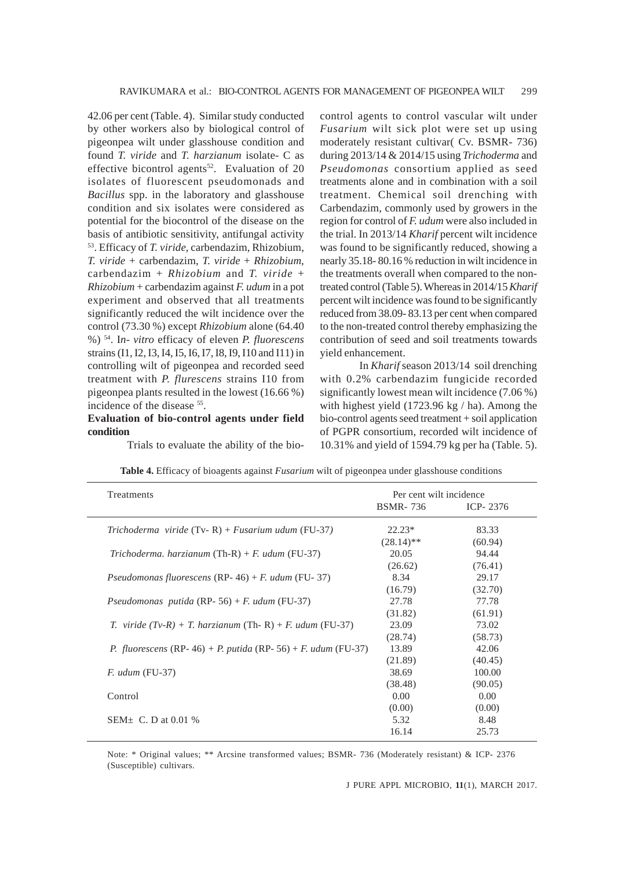42.06 per cent (Table. 4). Similar study conducted by other workers also by biological control of pigeonpea wilt under glasshouse condition and found *T. viride* and *T. harzianum* isolate- C as effective bicontrol agents<sup>52</sup>. Evaluation of 20 isolates of fluorescent pseudomonads and *Bacillus* spp. in the laboratory and glasshouse condition and six isolates were considered as potential for the biocontrol of the disease on the basis of antibiotic sensitivity, antifungal activity 53. Efficacy of *T. viride*, carbendazim, Rhizobium, *T. viride* + carbendazim, *T. viride* + *Rhizobium*, carbendazim + *Rhizobium* and *T. viride* + *Rhizobium* + carbendazim against *F. udum* in a pot experiment and observed that all treatments significantly reduced the wilt incidence over the control (73.30 %) except *Rhizobium* alone (64.40 %) 54. I*n- vitro* efficacy of eleven *P. fluorescens* strains (I1, I2, I3, I4, I5, I6, I7, I8, I9, I10 and I11) in controlling wilt of pigeonpea and recorded seed treatment with *P. flurescens* strains I10 from pigeonpea plants resulted in the lowest (16.66 %) incidence of the disease <sup>55</sup>.

## **Evaluation of bio-control agents under field condition**

control agents to control vascular wilt under *Fusarium* wilt sick plot were set up using moderately resistant cultivar( Cv. BSMR- 736) during 2013/14 & 2014/15 using *Trichoderma* and *Pseudomonas* consortium applied as seed treatments alone and in combination with a soil treatment. Chemical soil drenching with Carbendazim, commonly used by growers in the region for control of *F. udum* were also included in the trial. In 2013/14 *Kharif* percent wilt incidence was found to be significantly reduced, showing a nearly 35.18- 80.16 % reduction in wilt incidence in the treatments overall when compared to the nontreated control (Table 5). Whereas in 2014/15 *Kharif* percent wilt incidence was found to be significantly reduced from 38.09- 83.13 per cent when compared to the non-treated control thereby emphasizing the contribution of seed and soil treatments towards yield enhancement.

In *Kharif* season 2013/14 soil drenching with 0.2% carbendazim fungicide recorded significantly lowest mean wilt incidence (7.06 %) with highest yield (1723.96 kg / ha). Among the bio-control agents seed treatment + soil application of PGPR consortium, recorded wilt incidence of 10.31% and yield of 1594.79 kg per ha (Table. 5).

Trials to evaluate the ability of the bio-

| Treatments                                                                        | Per cent wilt incidence<br><b>BSMR-736</b><br>ICP-2376 |         |  |
|-----------------------------------------------------------------------------------|--------------------------------------------------------|---------|--|
|                                                                                   |                                                        |         |  |
| Trichoderma viride $(Tv-R) + Fusarium$ udum $(FU-37)$                             | $22.23*$                                               | 83.33   |  |
|                                                                                   | $(28.14)$ **                                           | (60.94) |  |
| Trichoderma. harzianum $(Th-R) + F$ . udum $(FU-37)$                              | 20.05                                                  | 94.44   |  |
|                                                                                   | (26.62)                                                | (76.41) |  |
| <i>Pseudomonas fluorescens</i> (RP- 46) + <i>F. udum</i> (FU- 37)                 | 8.34                                                   | 29.17   |  |
|                                                                                   | (16.79)                                                | (32.70) |  |
| Pseudomonas putida (RP-56) + F. udum (FU-37)                                      | 27.78                                                  | 77.78   |  |
|                                                                                   | (31.82)                                                | (61.91) |  |
| T. viride $(Tv-R) + T$ . harzianum (Th-R) + F. udum (FU-37)                       | 23.09                                                  | 73.02   |  |
|                                                                                   | (28.74)                                                | (58.73) |  |
| <i>P. fluorescens</i> (RP-46) + <i>P. putida</i> (RP-56) + <i>F. udum</i> (FU-37) | 13.89                                                  | 42.06   |  |
|                                                                                   | (21.89)                                                | (40.45) |  |
| $F.$ udum (FU-37)                                                                 | 38.69                                                  | 100.00  |  |
|                                                                                   | (38.48)                                                | (90.05) |  |
| Control                                                                           | 0.00                                                   | 0.00    |  |
|                                                                                   | (0.00)                                                 | (0.00)  |  |
| $SEM+ C. D$ at 0.01 %                                                             | 5.32                                                   | 8.48    |  |
|                                                                                   | 16.14                                                  | 25.73   |  |

**Table 4.** Efficacy of bioagents against *Fusarium* wilt of pigeonpea under glasshouse conditions

Note: \* Original values; \*\* Arcsine transformed values; BSMR- 736 (Moderately resistant) & ICP- 2376 (Susceptible) cultivars.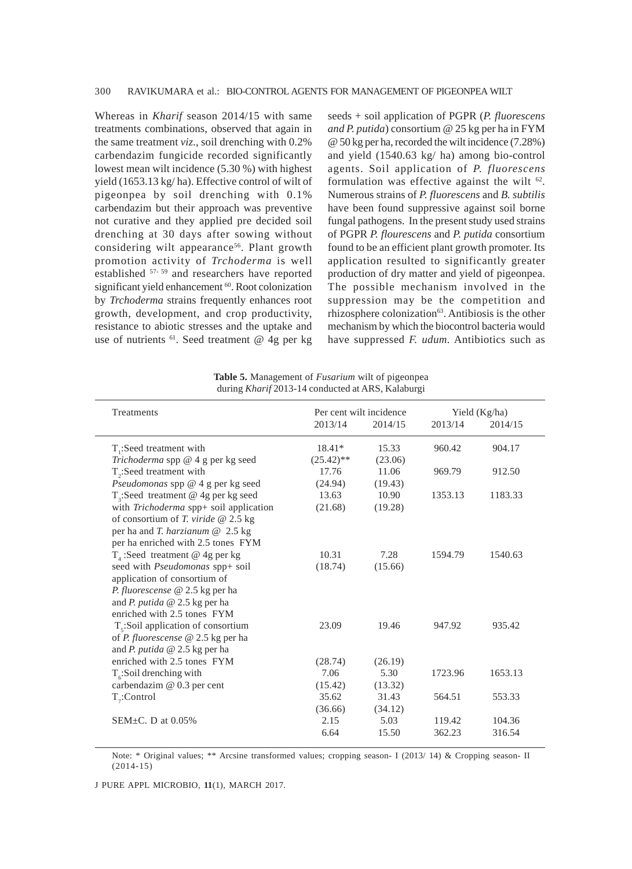Whereas in *Kharif* season 2014/15 with same treatments combinations, observed that again in the same treatment *viz*., soil drenching with 0.2% carbendazim fungicide recorded significantly lowest mean wilt incidence (5.30 %) with highest yield (1653.13 kg/ ha). Effective control of wilt of pigeonpea by soil drenching with 0.1% carbendazim but their approach was preventive not curative and they applied pre decided soil drenching at 30 days after sowing without considering wilt appearance<sup>56</sup>. Plant growth promotion activity of *Trchoderma* is well established 57- 59 and researchers have reported significant yield enhancement <sup>60</sup>. Root colonization by *Trchoderma* strains frequently enhances root growth, development, and crop productivity, resistance to abiotic stresses and the uptake and use of nutrients <sup>61</sup>. Seed treatment @ 4g per kg seeds + soil application of PGPR (*P. fluorescens and P. putida*) consortium @ 25 kg per ha in FYM @ 50 kg per ha, recorded the wilt incidence (7.28%) and yield (1540.63 kg/ ha) among bio-control agents. Soil application of *P. fluorescens* formulation was effective against the wilt  $62$ . Numerous strains of *P. fluorescens* and *B. subtilis* have been found suppressive against soil borne fungal pathogens. In the present study used strains of PGPR *P. flourescens* and *P. putida* consortium found to be an efficient plant growth promoter. Its application resulted to significantly greater production of dry matter and yield of pigeonpea. The possible mechanism involved in the suppression may be the competition and rhizosphere colonization<sup>63</sup>. Antibiosis is the other mechanism by which the biocontrol bacteria would have suppressed *F. udum.* Antibiotics such as

| <b>Table 5.</b> Management of <i>Fusarium</i> wilt of pigeonpea |  |
|-----------------------------------------------------------------|--|
| during Kharif 2013-14 conducted at ARS, Kalaburgi               |  |

| Treatments                                | Per cent wilt incidence |         |         | Yield (Kg/ha) |
|-------------------------------------------|-------------------------|---------|---------|---------------|
|                                           | 2013/14                 | 2014/15 | 2013/14 | 2014/15       |
| T:Seed treatment with                     | $18.41*$                | 15.33   | 960.42  | 904.17        |
| Trichoderma spp @ 4 g per kg seed         | $(25.42)$ **            | (23.06) |         |               |
| $T$ <sub>2</sub> :Seed treatment with     | 17.76                   | 11.06   | 969.79  | 912.50        |
| Pseudomonas spp @ 4 g per kg seed         | (24.94)                 | (19.43) |         |               |
| $T_3$ :Seed treatment @ 4g per kg seed    | 13.63                   | 10.90   | 1353.13 | 1183.33       |
| with Trichoderma spp+ soil application    | (21.68)                 | (19.28) |         |               |
| of consortium of T. viride $@ 2.5 kg$     |                         |         |         |               |
| per ha and T. harzianum $@$ 2.5 kg        |                         |         |         |               |
| per ha enriched with 2.5 tones FYM        |                         |         |         |               |
| $T_{4}$ :Seed treatment @ 4g per kg       | 10.31                   | 7.28    | 1594.79 | 1540.63       |
| seed with Pseudomonas spp+ soil           | (18.74)                 | (15.66) |         |               |
| application of consortium of              |                         |         |         |               |
| P. fluorescense @ 2.5 kg per ha           |                         |         |         |               |
| and <i>P. putida</i> $@$ 2.5 kg per ha    |                         |         |         |               |
| enriched with 2.5 tones FYM               |                         |         |         |               |
| $T_s$ : Soil application of consortium    | 23.09                   | 19.46   | 947.92  | 935.42        |
| of <i>P. fluorescense</i> @ 2.5 kg per ha |                         |         |         |               |
| and <i>P. putida</i> $@$ 2.5 kg per ha    |                         |         |         |               |
| enriched with 2.5 tones FYM               | (28.74)                 | (26.19) |         |               |
| $T_c$ :Soil drenching with                | 7.06                    | 5.30    | 1723.96 | 1653.13       |
| carbendazim @ 0.3 per cent                | (15.42)                 | (13.32) |         |               |
| $T_{7}$ :Control                          | 35.62                   | 31.43   | 564.51  | 553.33        |
|                                           | (36.66)                 | (34.12) |         |               |
| SEM $+C$ . D at 0.05%                     | 2.15                    | 5.03    | 119.42  | 104.36        |
|                                           | 6.64                    | 15.50   | 362.23  | 316.54        |

Note: \* Original values; \*\* Arcsine transformed values; cropping season- I (2013/ 14) & Cropping season- II (2014-15)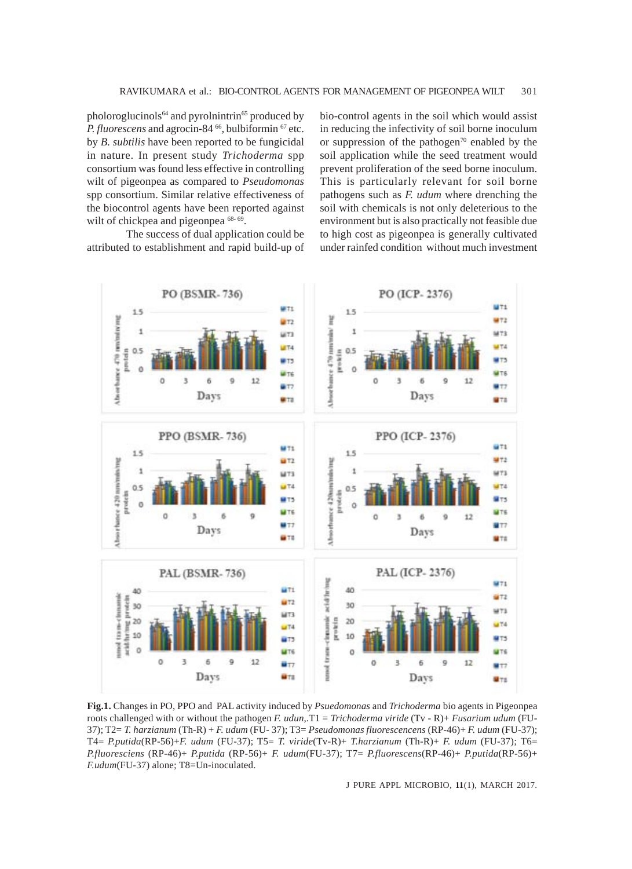pholoroglucinols<sup>64</sup> and pyrolnintrin<sup>65</sup> produced by *P. fluorescens* and agrocin-84<sup>66</sup>, bulbiformin<sup>67</sup> etc. by *B. subtilis* have been reported to be fungicidal in nature. In present study *Trichoderma* spp consortium was found less effective in controlling wilt of pigeonpea as compared to *Pseudomonas* spp consortium. Similar relative effectiveness of the biocontrol agents have been reported against wilt of chickpea and pigeonpea  $68-69$ .

The success of dual application could be attributed to establishment and rapid build-up of bio-control agents in the soil which would assist in reducing the infectivity of soil borne inoculum or suppression of the pathogen<sup>70</sup> enabled by the soil application while the seed treatment would prevent proliferation of the seed borne inoculum. This is particularly relevant for soil borne pathogens such as *F. udum* where drenching the soil with chemicals is not only deleterious to the environment but is also practically not feasible due to high cost as pigeonpea is generally cultivated under rainfed condition without much investment



**Fig.1.** Changes in PO, PPO and PAL activity induced by *Psuedomonas* and *Trichoderma* bio agents in Pigeonpea roots challenged with or without the pathogen *F. udun*,.T1 = *Trichoderma viride* (Tv - R)+ *Fusarium udum* (FU-37); T2= *T. harzianum* (Th-R) + *F. udum* (FU- 37); T3= *Pseudomonas fluorescencens* (RP-46)+ *F. udum* (FU-37); T4= *P.putida*(RP-56)+*F. udum* (FU-37); T5= *T. viride*(Tv-R)+ *T.harzianum* (Th-R)+ *F. udum* (FU-37); T6= *P.fluoresciens* (RP-46)+ *P.putida* (RP-56)+ *F. udum*(FU-37); T7= *P.fluorescens*(RP-46)+ *P.putida*(RP-56)+ *F.udum*(FU-37) alone; T8=Un-inoculated.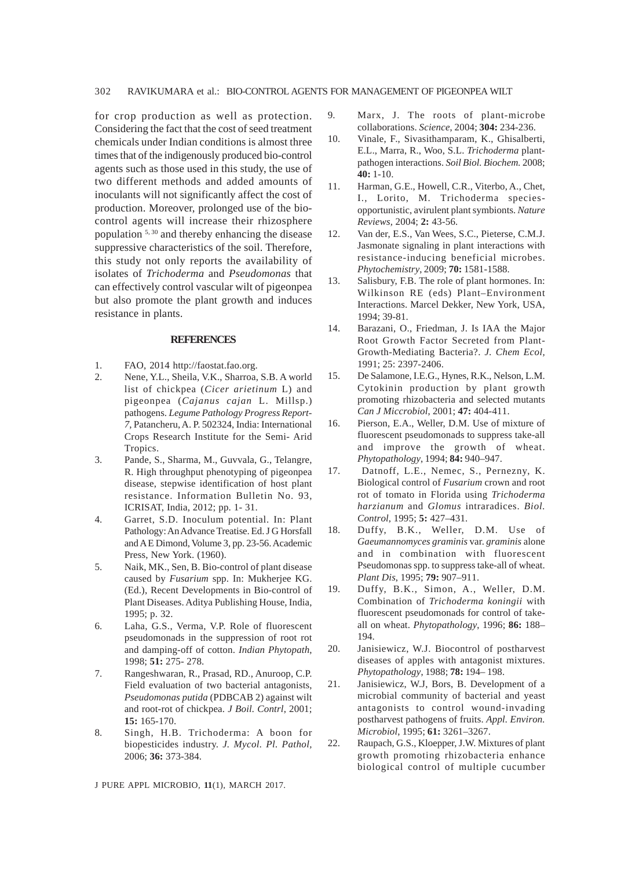for crop production as well as protection. Considering the fact that the cost of seed treatment chemicals under Indian conditions is almost three times that of the indigenously produced bio-control agents such as those used in this study, the use of two different methods and added amounts of inoculants will not significantly affect the cost of production. Moreover, prolonged use of the biocontrol agents will increase their rhizosphere population 5, 30 and thereby enhancing the disease suppressive characteristics of the soil. Therefore, this study not only reports the availability of isolates of *Trichoderma* and *Pseudomonas* that can effectively control vascular wilt of pigeonpea but also promote the plant growth and induces resistance in plants.

#### **REFERENCES**

- 1. FAO, 2014 http://faostat.fao.org.
- 2. Nene, Y.L., Sheila, V.K., Sharroa, S.B. A world list of chickpea (*Cicer arietinum* L) and pigeonpea (*Cajanus cajan* L. Millsp.) pathogens. *Legume Pathology Progress Report-7*, Patancheru, A. P. 502324, India: International Crops Research Institute for the Semi- Arid Tropics.
- 3. Pande, S., Sharma, M., Guvvala, G., Telangre, R. High throughput phenotyping of pigeonpea disease, stepwise identification of host plant resistance. Information Bulletin No. 93, ICRISAT, India, 2012; pp. 1- 31.
- 4. Garret, S.D. Inoculum potential. In: Plant Pathology: An Advance Treatise. Ed. J G Horsfall and A E Dimond, Volume 3, pp. 23-56. Academic Press, New York. (1960).
- 5. Naik, MK., Sen, B. Bio-control of plant disease caused by *Fusarium* spp. In: Mukherjee KG. (Ed.), Recent Developments in Bio-control of Plant Diseases. Aditya Publishing House, India, 1995; p. 32.
- 6. Laha, G.S., Verma, V.P. Role of fluorescent pseudomonads in the suppression of root rot and damping-off of cotton. *Indian Phytopath*, 1998; **51:** 275- 278.
- 7. Rangeshwaran, R., Prasad, RD., Anuroop, C.P. Field evaluation of two bacterial antagonists, *Pseudomonas putida* (PDBCAB 2) against wilt and root-rot of chickpea. *J Boil. Contrl*, 2001; **15:** 165-170.
- 8. Singh, H.B. Trichoderma: A boon for biopesticides industry. *J. Mycol. Pl. Pathol,* 2006; **36:** 373-384.

- 9. Marx, J. The roots of plant-microbe collaborations. *Science*, 2004; **304:** 234-236.
- 10. Vinale, F., Sivasithamparam, K., Ghisalberti, E.L., Marra, R., Woo, S.L. *Trichoderma* plantpathogen interactions. *Soil Biol. Biochem.* 2008; **40:** 1-10.
- 11. Harman, G.E., Howell, C.R., Viterbo, A., Chet, I., Lorito, M. Trichoderma speciesopportunistic, avirulent plant symbionts. *Nature Reviews,* 2004; **2:** 43-56.
- 12. Van der, E.S., Van Wees, S.C., Pieterse, C.M.J. Jasmonate signaling in plant interactions with resistance-inducing beneficial microbes. *Phytochemistry*, 2009; **70:** 1581-1588.
- 13. Salisbury, F.B. The role of plant hormones. In: Wilkinson RE (eds) Plant–Environment Interactions. Marcel Dekker, New York, USA, 1994; 39-81.
- 14. Barazani, O., Friedman, J. Is IAA the Major Root Growth Factor Secreted from Plant-Growth-Mediating Bacteria?. *J. Chem Ecol,* 1991; 25: 2397-2406.
- 15. De Salamone, I.E.G., Hynes, R.K., Nelson, L.M. Cytokinin production by plant growth promoting rhizobacteria and selected mutants *Can J Miccrobiol*, 2001; **47:** 404-411.
- 16. Pierson, E.A., Weller, D.M. Use of mixture of fluorescent pseudomonads to suppress take-all and improve the growth of wheat. *Phytopathology*, 1994; **84:** 940–947.
- 17. Datnoff, L.E., Nemec, S., Pernezny, K. Biological control of *Fusarium* crown and root rot of tomato in Florida using *Trichoderma harzianum* and *Glomus* intraradices. *Biol. Control*, 1995; **5:** 427–431.
- 18. Duffy, B.K., Weller, D.M. Use of *Gaeumannomyces graminis* var. *graminis* alone and in combination with fluorescent Pseudomonas spp. to suppress take-all of wheat. *Plant Dis*, 1995; **79:** 907–911.
- 19. Duffy, B.K., Simon, A., Weller, D.M. Combination of *Trichoderma koningii* with fluorescent pseudomonads for control of takeall on wheat. *Phytopathology*, 1996; **86:** 188– 194.
- 20. Janisiewicz, W.J. Biocontrol of postharvest diseases of apples with antagonist mixtures. *Phytopathology*, 1988; **78:** 194– 198.
- 21. Janisiewicz, W.J, Bors, B. Development of a microbial community of bacterial and yeast antagonists to control wound-invading postharvest pathogens of fruits. *Appl. Environ. Microbiol*, 1995; **61:** 3261–3267.
- 22. Raupach, G.S., Kloepper, J.W. Mixtures of plant growth promoting rhizobacteria enhance biological control of multiple cucumber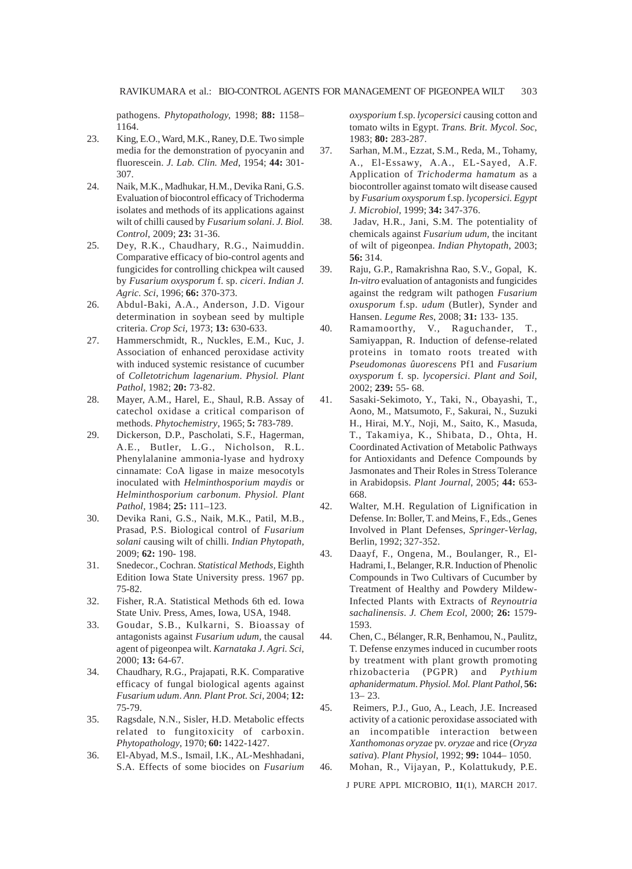pathogens. *Phytopathology,* 1998; **88:** 1158– 1164.

- 23. King, E.O., Ward, M.K., Raney, D.E. Two simple media for the demonstration of pyocyanin and fluorescein. *J. Lab. Clin. Med*, 1954; **44:** 301- 307.
- 24. Naik, M.K., Madhukar, H.M., Devika Rani, G.S. Evaluation of biocontrol efficacy of Trichoderma isolates and methods of its applications against wilt of chilli caused by *Fusarium solani*. *J. Biol. Control*, 2009; **23:** 31-36.
- 25. Dey, R.K., Chaudhary, R.G., Naimuddin. Comparative efficacy of bio-control agents and fungicides for controlling chickpea wilt caused by *Fusarium oxysporum* f. sp. *ciceri*. *Indian J. Agric. Sci*, 1996; **66:** 370-373.
- 26. Abdul-Baki, A.A., Anderson, J.D. Vigour determination in soybean seed by multiple criteria. *Crop Sci,* 1973; **13:** 630-633.
- 27. Hammerschmidt, R., Nuckles, E.M., Kuc, J. Association of enhanced peroxidase activity with induced systemic resistance of cucumber of *Colletotrichum lagenarium*. *Physiol. Plant Pathol*, 1982; **20:** 73-82.
- 28. Mayer, A.M., Harel, E., Shaul, R.B. Assay of catechol oxidase a critical comparison of methods. *Phytochemistry*, 1965; **5:** 783-789.
- 29. Dickerson, D.P., Pascholati, S.F., Hagerman, A.E., Butler, L.G., Nicholson, R.L. Phenylalanine ammonia-lyase and hydroxy cinnamate: CoA ligase in maize mesocotyls inoculated with *Helminthosporium maydis* or *Helminthosporium carbonum*. *Physiol. Plant Pathol,* 1984; **25:** 111–123.
- 30. Devika Rani, G.S., Naik, M.K., Patil, M.B., Prasad, P.S. Biological control of *Fusarium solani* causing wilt of chilli. *Indian Phytopath,* 2009; **62:** 190- 198.
- 31. Snedecor., Cochran. *Statistical Methods,* Eighth Edition Iowa State University press. 1967 pp. 75-82.
- 32. Fisher, R.A. Statistical Methods 6th ed. Iowa State Univ. Press, Ames, Iowa, USA, 1948.
- 33. Goudar, S.B., Kulkarni, S. Bioassay of antagonists against *Fusarium udum,* the causal agent of pigeonpea wilt. *Karnataka J. Agri. Sci*, 2000; **13:** 64-67.
- 34. Chaudhary, R.G., Prajapati, R.K. Comparative efficacy of fungal biological agents against *Fusarium udum*. *Ann. Plant Prot. Sci*, 2004; **12:** 75-79.
- 35. Ragsdale, N.N., Sisler, H.D. Metabolic effects related to fungitoxicity of carboxin. *Phytopathology*, 1970; **60:** 1422-1427.
- 36. El-Abyad, M.S., Ismail, I.K., AL-Meshhadani, S.A. Effects of some biocides on *Fusarium*

*oxysporium* f.sp. *lycopersici* causing cotton and tomato wilts in Egypt. *Trans. Brit. Mycol. Soc*, 1983; **80:** 283-287.

- 37. Sarhan, M.M., Ezzat, S.M., Reda, M., Tohamy, A., El-Essawy, A.A., EL-Sayed, A.F. Application of *Trichoderma hamatum* as a biocontroller against tomato wilt disease caused by *Fusarium oxysporum* f.sp. *lycopersici. Egypt J. Microbiol*, 1999; **34:** 347-376.
- 38. Jadav, H.R., Jani, S.M. The potentiality of chemicals against *Fusarium udum,* the incitant of wilt of pigeonpea. *Indian Phytopath*, 2003; **56:** 314.
- 39. Raju, G.P., Ramakrishna Rao, S.V., Gopal, K. *In-vitro* evaluation of antagonists and fungicides against the redgram wilt pathogen *Fusarium oxusporum* f.sp. *udum* (Butler), Synder and Hansen. *Legume Res*, 2008; **31:** 133- 135.
- 40. Ramamoorthy, V., Raguchander, T., Samiyappan, R. Induction of defense-related proteins in tomato roots treated with *Pseudomonas ûuorescens* Pf1 and *Fusarium oxysporum* f. sp. *lycopersici*. *Plant and Soil*, 2002; **239:** 55- 68.
- 41. Sasaki-Sekimoto, Y., Taki, N., Obayashi, T., Aono, M., Matsumoto, F., Sakurai, N., Suzuki H., Hirai, M.Y., Noji, M., Saito, K., Masuda, T., Takamiya, K., Shibata, D., Ohta, H. Coordinated Activation of Metabolic Pathways for Antioxidants and Defence Compounds by Jasmonates and Their Roles in Stress Tolerance in Arabidopsis. *Plant Journal*, 2005; **44:** 653- 668.
- 42. Walter, M.H. Regulation of Lignification in Defense. In: Boller, T. and Meins, F., Eds., Genes Involved in Plant Defenses, *Springer-Verlag*, Berlin, 1992; 327-352.
- 43. Daayf, F., Ongena, M., Boulanger, R., El-Hadrami, I., Belanger, R.R. Induction of Phenolic Compounds in Two Cultivars of Cucumber by Treatment of Healthy and Powdery Mildew-Infected Plants with Extracts of *Reynoutria sachalinensis*. *J. Chem Ecol*, 2000; **26:** 1579- 1593.
- 44. Chen, C., Bélanger, R.R, Benhamou, N., Paulitz, T. Defense enzymes induced in cucumber roots by treatment with plant growth promoting rhizobacteria (PGPR) and *Pythium aphanidermatum*. *Physiol. Mol. Plant Pathol*, **56:** 13– 23.
- 45. Reimers, P.J., Guo, A., Leach, J.E. Increased activity of a cationic peroxidase associated with an incompatible interaction between *Xanthomonas oryzae* pv. *oryzae* and rice (*Oryza sativa*). *Plant Physiol*, 1992; **99:** 1044– 1050.
- 46. Mohan, R., Vijayan, P., Kolattukudy, P.E.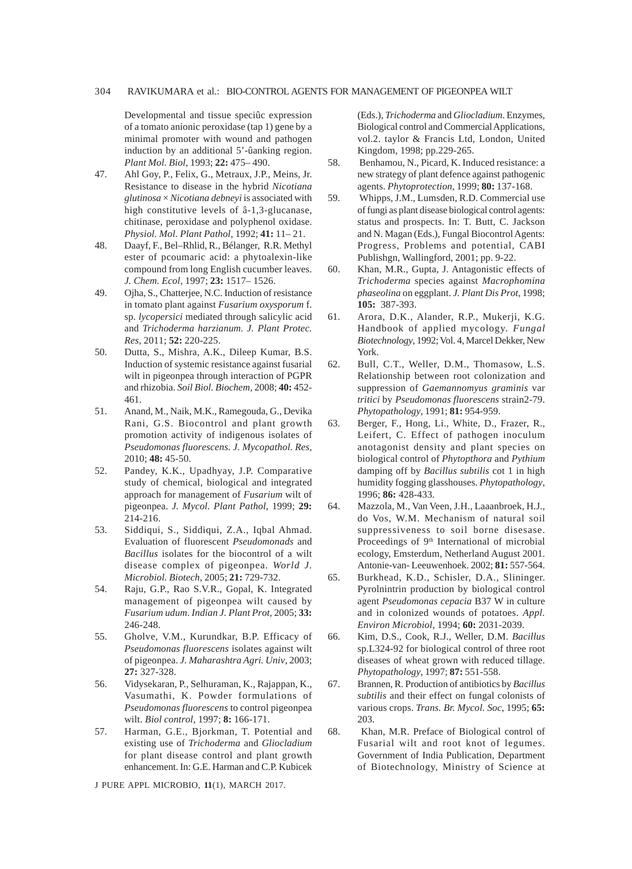## 304 RAVIKUMARA et al.: BIO-CONTROL AGENTS FOR MANAGEMENT OF PIGEONPEA WILT

Developmental and tissue speciûc expression of a tomato anionic peroxidase (tap 1) gene by a minimal promoter with wound and pathogen induction by an additional 5'-ûanking region. *Plant Mol. Biol*, 1993; **22:** 475– 490.

- 47. Ahl Goy, P., Felix, G., Metraux, J.P., Meins, Jr. Resistance to disease in the hybrid *Nicotiana glutinosa* × *Nicotiana debneyi* is associated with high constitutive levels of â-1,3-glucanase, chitinase, peroxidase and polyphenol oxidase. *Physiol. Mol. Plant Pathol*, 1992; **41:** 11– 21.
- 48. Daayf, F., Bel–Rhlid, R., Bélanger, R.R. Methyl ester of pcoumaric acid: a phytoalexin-like compound from long English cucumber leaves. *J. Chem. Ecol*, 1997; **23:** 1517– 1526.
- 49. Ojha, S., Chatterjee, N.C. Induction of resistance in tomato plant against *Fusarium oxysporum* f. sp. *lycopersici* mediated through salicylic acid and *Trichoderma harzianum. J. Plant Protec. Res*, 2011; **52:** 220-225.
- 50. Dutta, S., Mishra, A.K., Dileep Kumar, B.S. Induction of systemic resistance against fusarial wilt in pigeonpea through interaction of PGPR and rhizobia. *Soil Biol. Biochem*, 2008; **40:** 452- 461.
- 51. Anand, M., Naik, M.K., Ramegouda, G., Devika Rani, G.S. Biocontrol and plant growth promotion activity of indigenous isolates of *Pseudomonas fluorescens. J. Mycopathol. Res*, 2010; **48:** 45-50.
- 52. Pandey, K.K., Upadhyay, J.P. Comparative study of chemical, biological and integrated approach for management of *Fusarium* wilt of pigeonpea. *J. Mycol. Plant Pathol*, 1999; **29:** 214-216.
- 53. Siddiqui, S., Siddiqui, Z.A., Iqbal Ahmad. Evaluation of fluorescent *Pseudomonads* and *Bacillus* isolates for the biocontrol of a wilt disease complex of pigeonpea. *World J. Microbiol. Biotech*, 2005; **21:** 729-732.
- 54. Raju, G.P., Rao S.V.R., Gopal, K. Integrated management of pigeonpea wilt caused by *Fusarium udum*. *Indian J. Plant Prot*, 2005; **33:** 246-248.
- 55. Gholve, V.M., Kurundkar, B.P. Efficacy of *Pseudomonas fluorescens* isolates against wilt of pigeonpea. *J. Maharashtra Agri. Univ*, 2003; **27:** 327-328.
- 56. Vidysekaran, P., Selhuraman, K., Rajappan, K., Vasumathi, K. Powder formulations of *Pseudomonas fluorescens* to control pigeonpea wilt. *Biol control*, 1997; **8:** 166-171.
- 57. Harman, G.E., Bjorkman, T. Potential and existing use of *Trichoderma* and *Gliocladium* for plant disease control and plant growth enhancement. In: G.E. Harman and C.P. Kubicek

J PURE APPL MICROBIO*,* **11**(1), MARCH 2017.

(Eds.), *Trichoderma* and *Gliocladium*. Enzymes, Biological control and Commercial Applications, vol.2. taylor & Francis Ltd, London, United Kingdom, 1998; pp.229-265.

- 58. Benhamou, N., Picard, K. Induced resistance: a new strategy of plant defence against pathogenic agents. *Phytoprotection*, 1999; **80:** 137-168.
- 59. Whipps, J.M., Lumsden, R.D. Commercial use of fungi as plant disease biological control agents: status and prospects. In: T. Butt, C. Jackson and N. Magan (Eds.), Fungal Biocontrol Agents: Progress, Problems and potential, CABI Publishgn, Wallingford, 2001; pp. 9-22.
- 60. Khan, M.R., Gupta, J. Antagonistic effects of *Trichoderma* species against *Macrophomina phaseolina* on eggplant. *J. Plant Dis Prot*, 1998; **105:** 387-393.
- 61. Arora, D.K., Alander, R.P., Mukerji, K.G. Handbook of applied mycology. *Fungal Biotechnology*, 1992; Vol. 4, Marcel Dekker, New York.
- 62. Bull, C.T., Weller, D.M., Thomasow, L.S. Relationship between root colonization and suppression of *Gaemannomyus graminis* var *tritici* by *Pseudomonas fluorescens* strain2-79. *Phytopathology*, 1991; **81:** 954-959.
- 63. Berger, F., Hong, Li., White, D., Frazer, R., Leifert, C. Effect of pathogen inoculum anotagonist density and plant species on biological control of *Phytopthora* and *Pythium* damping off by *Bacillus subtilis* cot 1 in high humidity fogging glasshouses. *Phytopathology*, 1996; **86:** 428-433.
- 64. Mazzola, M., Van Veen, J.H., Laaanbroek, H.J., do Vos, W.M. Mechanism of natural soil suppressiveness to soil borne disesase. Proceedings of 9<sup>th</sup> International of microbial ecology, Emsterdum, Netherland August 2001. Antonie-van- Leeuwenhoek. 2002; **81:** 557-564.
- 65. Burkhead, K.D., Schisler, D.A., Slininger. Pyrolnintrin production by biological control agent *Pseudomonas cepacia* B37 W in culture and in colonized wounds of potatoes. *Appl. Environ Microbiol*, 1994; **60:** 2031-2039.
- 66. Kim, D.S., Cook, R.J., Weller, D.M. *Bacillus* sp.L324-92 for biological control of three root diseases of wheat grown with reduced tillage. *Phytopathology*, 1997; **87:** 551-558.
- 67. Brannen, R. Production of antibiotics by *Bacillus subtilis* and their effect on fungal colonists of various crops. *Trans. Br. Mycol. Soc*, 1995; **65:** 203.
- 68. Khan, M.R. Preface of Biological control of Fusarial wilt and root knot of legumes. Government of India Publication, Department of Biotechnology, Ministry of Science at